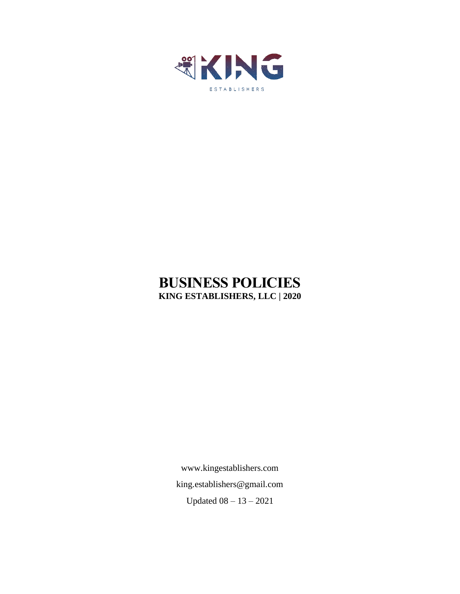

# **BUSINESS POLICIES KING ESTABLISHERS, LLC | 2020**

[www.kingestablishers.com](http://www.kingestablishers.com/) [king.establishers@gmail.com](mailto:king.establishers@gmail.com) Updated 08 – 13 – 2021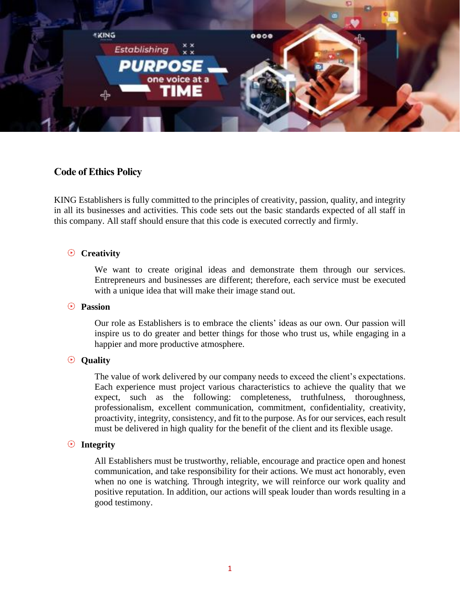

### **Code of Ethics Policy**

KING Establishers is fully committed to the principles of creativity, passion, quality, and integrity in all its businesses and activities. This code sets out the basic standards expected of all staff in this company. All staff should ensure that this code is executed correctly and firmly.

#### **Creativity**

We want to create original ideas and demonstrate them through our services. Entrepreneurs and businesses are different; therefore, each service must be executed with a unique idea that will make their image stand out.

#### **Passion**

Our role as Establishers is to embrace the clients' ideas as our own. Our passion will inspire us to do greater and better things for those who trust us, while engaging in a happier and more productive atmosphere.

#### **Quality**

The value of work delivered by our company needs to exceed the client's expectations. Each experience must project various characteristics to achieve the quality that we expect, such as the following: completeness, truthfulness, thoroughness, professionalism, excellent communication, commitment, confidentiality, creativity, proactivity, integrity, consistency, and fit to the purpose. As for our services, each result must be delivered in high quality for the benefit of the client and its flexible usage.

#### **Integrity**

All Establishers must be trustworthy, reliable, encourage and practice open and honest communication, and take responsibility for their actions. We must act honorably, even when no one is watching. Through integrity, we will reinforce our work quality and positive reputation. In addition, our actions will speak louder than words resulting in a good testimony.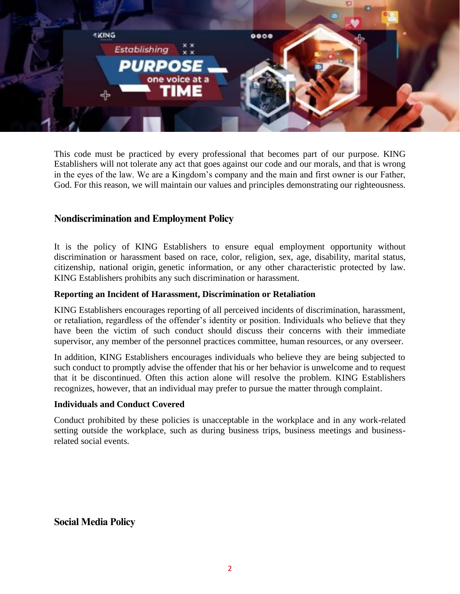

This code must be practiced by every professional that becomes part of our purpose. KING Establishers will not tolerate any act that goes against our code and our morals, and that is wrong in the eyes of the law. We are a Kingdom's company and the main and first owner is our Father, God. For this reason, we will maintain our values and principles demonstrating our righteousness.

# **Nondiscrimination and Employment Policy**

It is the policy of KING Establishers to ensure equal employment opportunity without discrimination or harassment based on race, color, religion, sex, age, disability, marital status, citizenship, national origin, genetic information, or any other characteristic protected by law. KING Establishers prohibits any such discrimination or harassment.

#### **Reporting an Incident of Harassment, Discrimination or Retaliation**

KING Establishers encourages reporting of all perceived incidents of discrimination, harassment, or retaliation, regardless of the offender's identity or position. Individuals who believe that they have been the victim of such conduct should discuss their concerns with their immediate supervisor, any member of the personnel practices committee, human resources, or any overseer.

In addition, KING Establishers encourages individuals who believe they are being subjected to such conduct to promptly advise the offender that his or her behavior is unwelcome and to request that it be discontinued. Often this action alone will resolve the problem. KING Establishers recognizes, however, that an individual may prefer to pursue the matter through complaint.

#### **Individuals and Conduct Covered**

Conduct prohibited by these policies is unacceptable in the workplace and in any work-related setting outside the workplace, such as during business trips, business meetings and businessrelated social events.

# **Social Media Policy**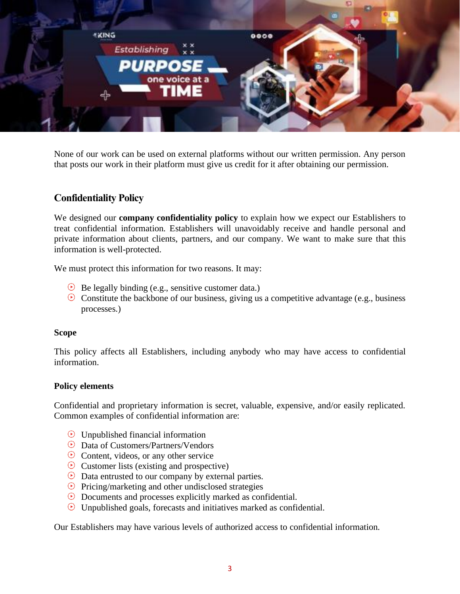

None of our work can be used on external platforms without our written permission. Any person that posts our work in their platform must give us credit for it after obtaining our permission.

# **Confidentiality Policy**

We designed our **company confidentiality policy** to explain how we expect our Establishers to treat confidential information. Establishers will unavoidably receive and handle personal and private information about clients, partners, and our company. We want to make sure that this information is well-protected.

We must protect this information for two reasons. It may:

- $\Theta$  Be legally binding (e.g., sensitive customer data.)
- $\odot$  Constitute the backbone of our business, giving us a competitive advantage (e.g., business processes.)

#### **Scope**

This policy affects all Establishers, including anybody who may have access to confidential information.

#### **Policy elements**

Confidential and proprietary information is secret, valuable, expensive, and/or easily replicated. Common examples of confidential information are:

- $\odot$  Unpublished financial information
- Data of Customers/Partners/Vendors
- $\odot$  Content, videos, or any other service
- $\odot$  Customer lists (existing and prospective)
- $\odot$  Data entrusted to our company by external parties.
- $\odot$  Pricing/marketing and other undisclosed strategies
- $\odot$  Documents and processes explicitly marked as confidential.
- $\odot$  Unpublished goals, forecasts and initiatives marked as confidential.

Our Establishers may have various levels of authorized access to confidential information.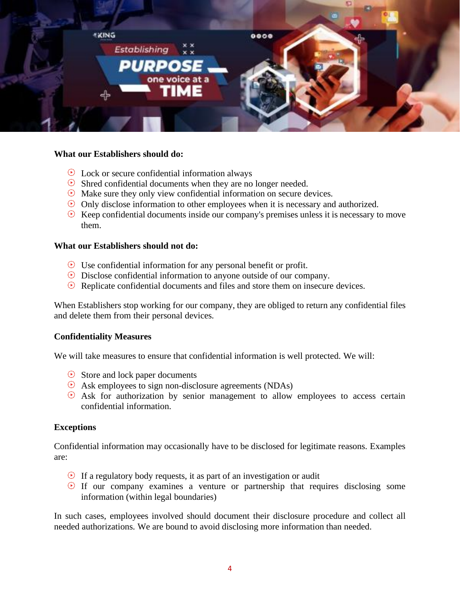

#### **What our Establishers should do:**

- $\odot$  Lock or secure confidential information always
- $\odot$  Shred confidential documents when they are no longer needed.
- $\odot$  Make sure they only view confidential information on secure devices.
- $\odot$  Only disclose information to other employees when it is necessary and authorized.
- $\odot$  Keep confidential documents inside our company's premises unless it is necessary to move them.

#### **What our Establishers should not do:**

- $\odot$  Use confidential information for any personal benefit or profit.
- $\odot$  Disclose confidential information to anyone outside of our company.
- $\odot$  Replicate confidential documents and files and store them on insecure devices.

When Establishers stop working for our company, they are obliged to return any confidential files and delete them from their personal devices.

#### **Confidentiality Measures**

We will take measures to ensure that confidential information is well protected. We will:

- $\odot$  Store and lock paper documents
- Ask employees to sign non-disclosure agreements (NDAs)
- $\odot$  Ask for authorization by senior management to allow employees to access certain confidential information.

#### **Exceptions**

Confidential information may occasionally have to be disclosed for legitimate reasons. Examples are:

- $\odot$  If a regulatory body requests, it as part of an investigation or audit
- $\odot$  If our company examines a venture or partnership that requires disclosing some information (within legal boundaries)

In such cases, employees involved should document their disclosure procedure and collect all needed authorizations. We are bound to avoid disclosing more information than needed.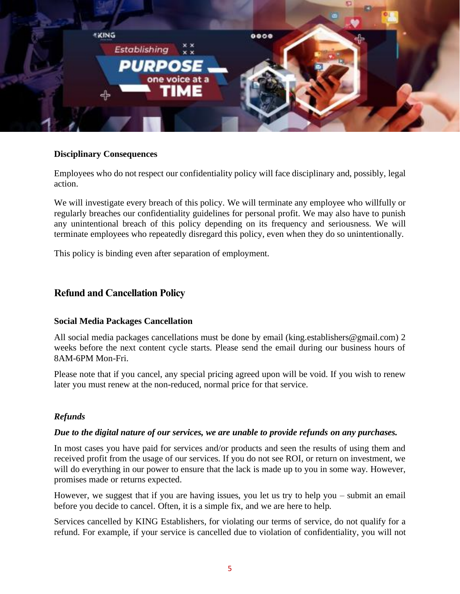

#### **Disciplinary Consequences**

Employees who do not respect our confidentiality policy will face disciplinary and, possibly, legal action.

We will investigate every breach of this policy. We will terminate any employee who willfully or regularly breaches our confidentiality guidelines for personal profit. We may also have to punish any unintentional breach of this policy depending on its frequency and seriousness. We will terminate employees who repeatedly disregard this policy, even when they do so unintentionally.

This policy is binding even after separation of employment.

# **Refund and Cancellation Policy**

#### **Social Media Packages Cancellation**

All social media packages cancellations must be done by email (king.establishers@gmail.com) 2 weeks before the next content cycle starts. Please send the email during our business hours of 8AM-6PM Mon-Fri.

Please note that if you cancel, any special pricing agreed upon will be void. If you wish to renew later you must renew at the non-reduced, normal price for that service.

#### *Refunds*

#### *Due to the digital nature of our services, we are unable to provide refunds on any purchases.*

In most cases you have paid for services and/or products and seen the results of using them and received profit from the usage of our services. If you do not see ROI, or return on investment, we will do everything in our power to ensure that the lack is made up to you in some way. However, promises made or returns expected.

However, we suggest that if you are having issues, you let us try to help you – submit an email before you decide to cancel. Often, it is a simple fix, and we are here to help.

Services cancelled by KING Establishers, for violating our terms of service, do not qualify for a refund. For example, if your service is cancelled due to violation of confidentiality, you will not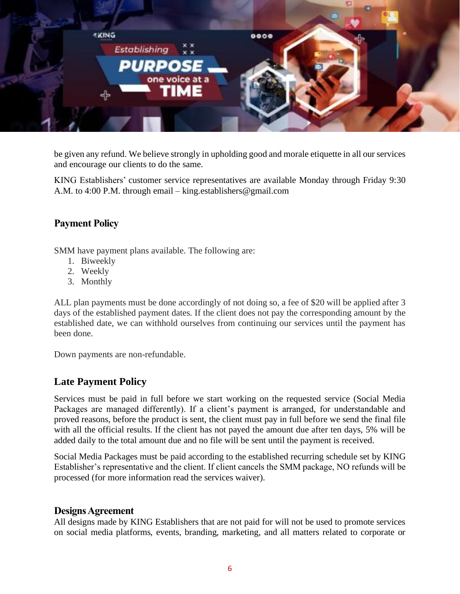

be given any refund. We believe strongly in upholding good and morale etiquette in all our services and encourage our clients to do the same.

KING Establishers' customer service representatives are available Monday through Friday 9:30 A.M. to 4:00 P.M. through email – [king.establishers@gmail.com](mailto:king.establishers@gmail.com)

# **Payment Policy**

SMM have payment plans available. The following are:

- 1. Biweekly
- 2. Weekly
- 3. Monthly

ALL plan payments must be done accordingly of not doing so, a fee of \$20 will be applied after 3 days of the established payment dates. If the client does not pay the corresponding amount by the established date, we can withhold ourselves from continuing our services until the payment has been done.

Down payments are non-refundable.

# **Late Payment Policy**

Services must be paid in full before we start working on the requested service (Social Media Packages are managed differently). If a client's payment is arranged, for understandable and proved reasons, before the product is sent, the client must pay in full before we send the final file with all the official results. If the client has not payed the amount due after ten days, 5% will be added daily to the total amount due and no file will be sent until the payment is received.

Social Media Packages must be paid according to the established recurring schedule set by KING Establisher's representative and the client. If client cancels the SMM package, NO refunds will be processed (for more information read the services waiver).

#### **Designs Agreement**

All designs made by KING Establishers that are not paid for will not be used to promote services on social media platforms, events, branding, marketing, and all matters related to corporate or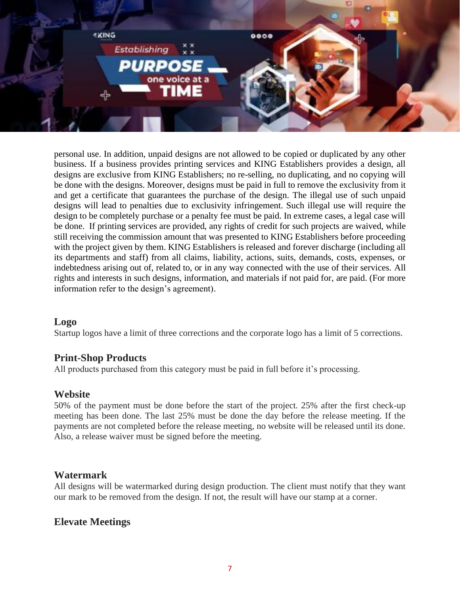

personal use. In addition, unpaid designs are not allowed to be copied or duplicated by any other business. If a business provides printing services and KING Establishers provides a design, all designs are exclusive from KING Establishers; no re-selling, no duplicating, and no copying will be done with the designs. Moreover, designs must be paid in full to remove the exclusivity from it and get a certificate that guarantees the purchase of the design. The illegal use of such unpaid designs will lead to penalties due to exclusivity infringement. Such illegal use will require the design to be completely purchase or a penalty fee must be paid. In extreme cases, a legal case will be done. If printing services are provided, any rights of credit for such projects are waived, while still receiving the commission amount that was presented to KING Establishers before proceeding with the project given by them. KING Establishers is released and forever discharge (including all its departments and staff) from all claims, liability, actions, suits, demands, costs, expenses, or indebtedness arising out of, related to, or in any way connected with the use of their services. All rights and interests in such designs, information, and materials if not paid for, are paid. (For more information refer to the design's agreement).

# **Logo**

Startup logos have a limit of three corrections and the corporate logo has a limit of 5 corrections.

# **Print-Shop Products**

All products purchased from this category must be paid in full before it's processing.

# **Website**

50% of the payment must be done before the start of the project. 25% after the first check-up meeting has been done. The last 25% must be done the day before the release meeting. If the payments are not completed before the release meeting, no website will be released until its done. Also, a release waiver must be signed before the meeting.

# **Watermark**

All designs will be watermarked during design production. The client must notify that they want our mark to be removed from the design. If not, the result will have our stamp at a corner.

# **Elevate Meetings**